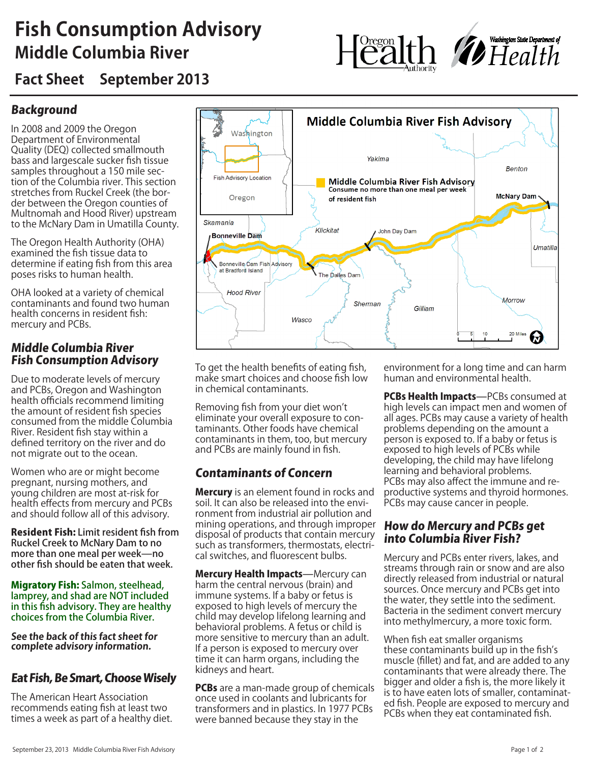## **Fish Consumption Advisory Middle Columbia River**



**Fact Sheet September 2013**

### Background

In 2008 and 2009 the Oregon Department of Environmental Quality (DEQ) collected smallmouth bass and largescale sucker fish tissue samples throughout a 150 mile section of the Columbia river. This section stretches from Ruckel Creek (the border between the Oregon counties of Multnomah and Hood River) upstream to the McNary Dam in Umatilla County.

The Oregon Health Authority (OHA) examined the fish tissue data to determine if eating fish from this area poses risks to human health.

OHA looked at a variety of chemical contaminants and found two human health concerns in resident fish: mercury and PCBs.

#### Middle Columbia River Fish Consumption Advisory

Due to moderate levels of mercury and PCBs, Oregon and Washington health officials recommend limiting the amount of resident fish species consumed from the middle Columbia River. Resident fish stay within a defined territory on the river and do not migrate out to the ocean.

Women who are or might become pregnant, nursing mothers, and young children are most at-risk for health effects from mercury and PCBs and should follow all of this advisory.

Resident Fish: Limit resident fish from Ruckel Creek to McNary Dam to no more than one meal per week—no other fish should be eaten that week.

Migratory Fish: Salmon, steelhead, lamprey, and shad are NOT included in this fish advisory. They are healthy choices from the Columbia River.

**See the back of this fact sheet for complete advisory information.** 

#### Eat Fish, Be Smart, Choose Wisely

The American Heart Association recommends eating fish at least two times a week as part of a healthy diet.



To get the health benefits of eating fish, make smart choices and choose fish low in chemical contaminants.

Removing fish from your diet won't eliminate your overall exposure to contaminants. Other foods have chemical contaminants in them, too, but mercury and PCBs are mainly found in fish.

### Contaminants of Concern

**Mercury** is an element found in rocks and soil. It can also be released into the environment from industrial air pollution and mining operations, and through improper disposal of products that contain mercury such as transformers, thermostats, electrical switches, and fluorescent bulbs.

Mercury Health Impacts-Mercury can harm the central nervous (brain) and immune systems. If a baby or fetus is exposed to high levels of mercury the child may develop lifelong learning and behavioral problems. A fetus or child is more sensitive to mercury than an adult. If a person is exposed to mercury over time it can harm organs, including the kidneys and heart.

**PCBs** are a man-made group of chemicals once used in coolants and lubricants for transformers and in plastics. In 1977 PCBs were banned because they stay in the

environment for a long time and can harm human and environmental health.

PCBs Health Impacts-PCBs consumed at high levels can impact men and women of all ages. PCBs may cause a variety of health problems depending on the amount a person is exposed to. If a baby or fetus is exposed to high levels of PCBs while developing, the child may have lifelong learning and behavioral problems. PCBs may also affect the immune and reproductive systems and thyroid hormones. PCBs may cause cancer in people.

#### How do Mercury and PCBs get into Columbia River Fish?

Mercury and PCBs enter rivers, lakes, and streams through rain or snow and are also directly released from industrial or natural sources. Once mercury and PCBs get into the water, they settle into the sediment. Bacteria in the sediment convert mercury into methylmercury, a more toxic form.

When fish eat smaller organisms these contaminants build up in the fish's muscle (fillet) and fat, and are added to any contaminants that were already there. The bigger and older a fish is, the more likely it is to have eaten lots of smaller, contaminated fish. People are exposed to mercury and PCBs when they eat contaminated fish.